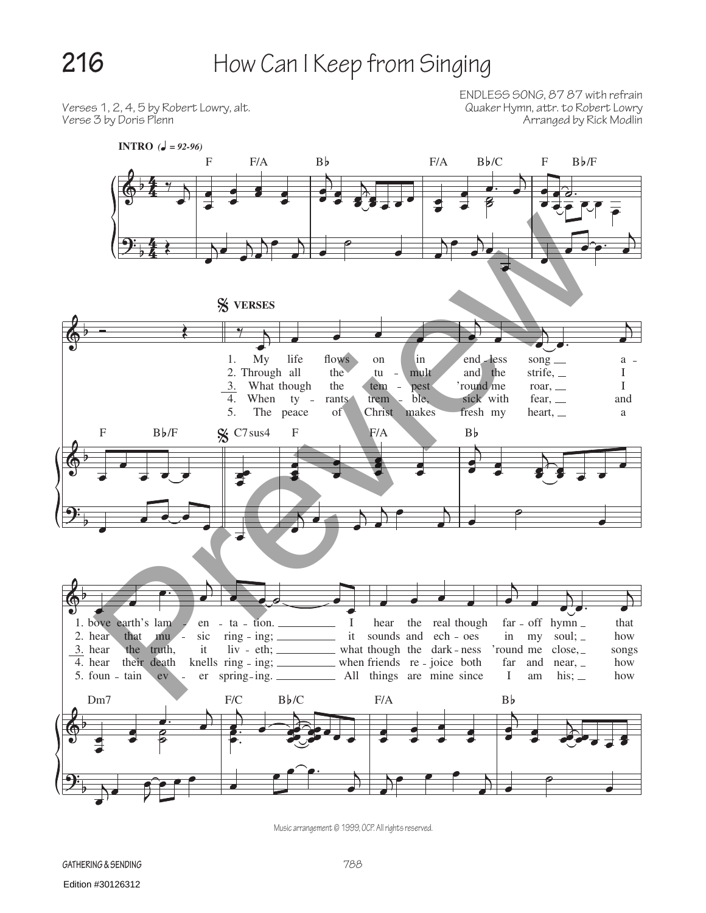## 216 How Can I Keep from Singing

Verses 1, 2, 4, 5 by Robert Lowry, alt.<br>Verse 3 by Doris Plenn

ENDLESS SONG, 87 87 with refrain Arranged by Rick Modlin



Music arrangement © 1999, OCP. All rights reserved.